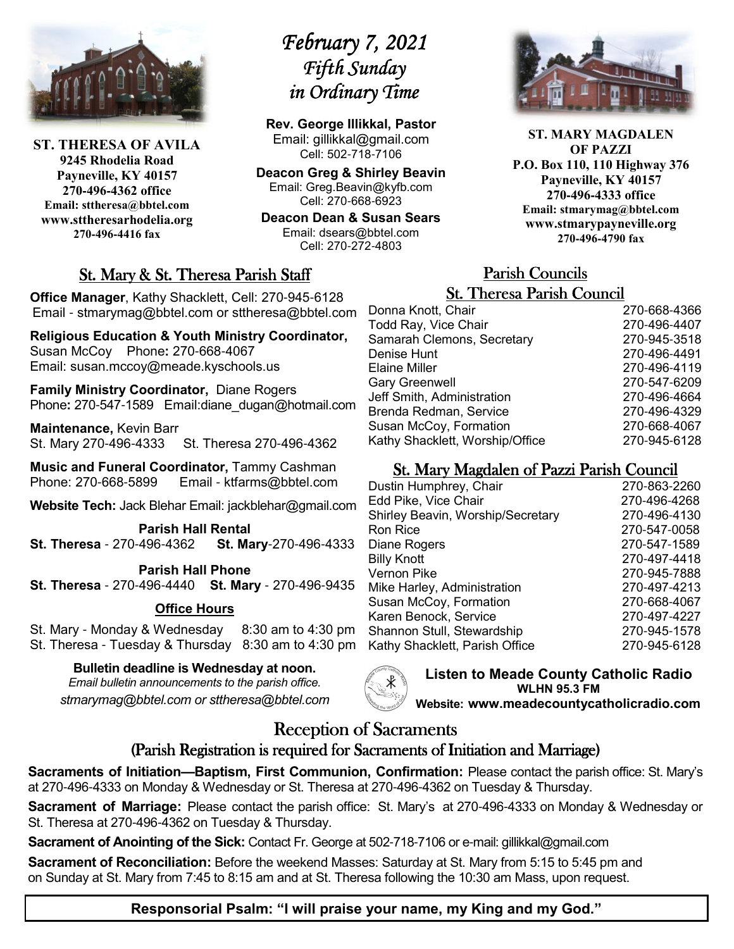

**ST. THERESA OF AVILA 9245 Rhodelia Road Payneville, KY 40157 270-496-4362 office Email: sttheresa@bbtel.com www.sttheresarhodelia.org 270-496-4416 fax**

# *February 7, 2021 Fifth Sunday in Ordinary Time*

**Rev. George Illikkal, Pastor** Email: gillikkal@gmail.com Cell: 502-718-7106

**Deacon Greg & Shirley Beavin** Email: Greg.Beavin@kyfb.com Cell: 270-668-6923

**Deacon Dean & Susan Sears** Email: dsears@bbtel.com Cell: 270-272-4803

## St. Mary & St. Theresa Parish Staff

**Office Manager**, Kathy Shacklett, Cell: 270-945-6128 Email - stmarymag@bbtel.com or sttheresa@bbtel.com

**Religious Education & Youth Ministry Coordinator,**  Susan McCoy Phone**:** 270-668-4067 Email: susan.mccoy@meade.kyschools.us

**Family Ministry Coordinator,** Diane Rogers Phone**:** 270-547-1589 Email:diane\_dugan@hotmail.com

**Maintenance,** Kevin Barr St. Mary 270-496-4333 St. Theresa 270-496-4362

**Music and Funeral Coordinator,** Tammy Cashman Phone: 270-668-5899 Email - ktfarms@bbtel.com

**Website Tech:** Jack Blehar Email: jackblehar@gmail.com

**Parish Hall Rental St. Theresa** - 270-496-4362 **St. Mary**-270-496-4333

#### **Parish Hall Phone**

**St. Theresa** - 270-496-4440 **St. Mary** - 270-496-9435

## **Office Hours**

St. Mary - Monday & Wednesday 8:30 am to 4:30 pm St. Theresa - Tuesday & Thursday 8:30 am to 4:30 pm

**Bulletin deadline is Wednesday at noon.**

*Email bulletin announcements to the parish office. stmarymag@bbtel.com or sttheresa@bbtel.com*



**ST. MARY MAGDALEN OF PAZZI P.O. Box 110, 110 Highway 376 Payneville, KY 40157 270-496-4333 office Email: stmarymag@bbtel.com www.stmarypayneville.org 270-496-4790 fax**

# Parish Councils Parish Councils

| <b>St. Theresa Parish Council</b> |              |  |  |
|-----------------------------------|--------------|--|--|
| Donna Knott, Chair                | 270-668-4366 |  |  |
| Todd Ray, Vice Chair              | 270-496-4407 |  |  |
| Samarah Clemons, Secretary        | 270-945-3518 |  |  |
| Denise Hunt                       | 270-496-4491 |  |  |
| Elaine Miller                     | 270-496-4119 |  |  |
| <b>Gary Greenwell</b>             | 270-547-6209 |  |  |
| Jeff Smith, Administration        | 270-496-4664 |  |  |
| Brenda Redman, Service            | 270-496-4329 |  |  |
| Susan McCoy, Formation            | 270-668-4067 |  |  |
| Kathy Shacklett, Worship/Office   | 270-945-6128 |  |  |

## St. Mary Magdalen of Pazzi Parish Council

| Dustin Humphrey, Chair            | 270-863-2260 |
|-----------------------------------|--------------|
| Edd Pike, Vice Chair              | 270-496-4268 |
| Shirley Beavin, Worship/Secretary | 270-496-4130 |
| Ron Rice                          | 270-547-0058 |
| Diane Rogers                      | 270-547-1589 |
| <b>Billy Knott</b>                | 270-497-4418 |
| Vernon Pike                       | 270-945-7888 |
| Mike Harley, Administration       | 270-497-4213 |
| Susan McCoy, Formation            | 270-668-4067 |
| Karen Benock, Service             | 270-497-4227 |
| Shannon Stull, Stewardship        | 270-945-1578 |
| Kathy Shacklett, Parish Office    | 270-945-6128 |
|                                   |              |

**Listen to Meade County Catholic Radio WLHN 95.3 FM Website: www.meadecountycatholicradio.com**

# Reception of Sacraments

## (Parish Registration is required for Sacraments of Initiation and Marriage)

**Sacraments of Initiation—Baptism, First Communion, Confirmation:** Please contact the parish office: St. Mary's at 270-496-4333 on Monday & Wednesday or St. Theresa at 270-496-4362 on Tuesday & Thursday.

**Sacrament of Marriage:** Please contact the parish office: St. Mary's at 270-496-4333 on Monday & Wednesday or St. Theresa at 270-496-4362 on Tuesday & Thursday.

**Sacrament of Anointing of the Sick:** Contact Fr. George at 502-718-7106 or e-mail: gillikkal@gmail.com

**Sacrament of Reconciliation:** Before the weekend Masses: Saturday at St. Mary from 5:15 to 5:45 pm and on Sunday at St. Mary from 7:45 to 8:15 am and at St. Theresa following the 10:30 am Mass, upon request.

## **Responsorial Psalm: "I will praise your name, my King and my God."**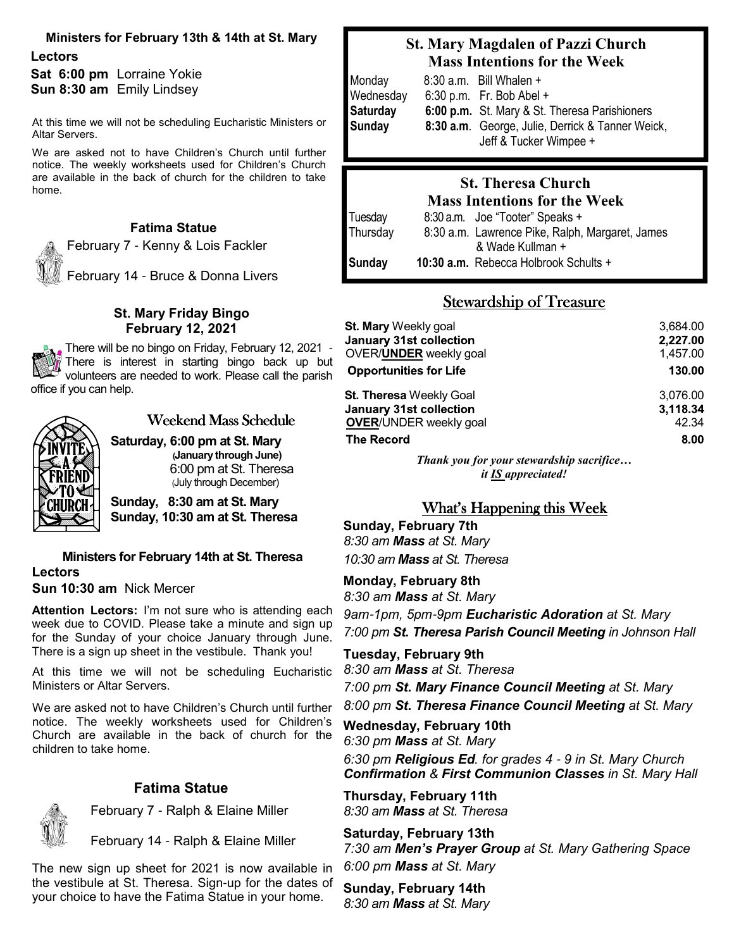#### **Ministers for February 13th & 14th at St. Mary**

**Lectors Sat 6:00 pm** Lorraine Yokie **Sun 8:30 am** Emily Lindsey

At this time we will not be scheduling Eucharistic Ministers or Altar Servers.

We are asked not to have Children's Church until further notice. The weekly worksheets used for Children's Church are available in the back of church for the children to take home.

## **Fatima Statue**

February 7 - Kenny & Lois Fackler February 14 - Bruce & Donna Livers

#### **St. Mary Friday Bingo February 12, 2021**

There will be no bingo on Friday, February 12, 2021 -There is interest in starting bingo back up but volunteers are needed to work. Please call the parish office if you can help.



## Weekend Mass Schedule

**Saturday, 6:00 pm at St. Mary (January through June)**  6:00 pm at St. Theresa (July through December)

**Sunday, 8:30 am at St. Mary Sunday, 10:30 am at St. Theresa**

#### **Ministers for February 14th at St. Theresa Lectors Sun 10:30 am** Nick Mercer

**Attention Lectors:** I'm not sure who is attending each week due to COVID. Please take a minute and sign up for the Sunday of your choice January through June. There is a sign up sheet in the vestibule. Thank you!

At this time we will not be scheduling Eucharistic Ministers or Altar Servers.

We are asked not to have Children's Church until further notice. The weekly worksheets used for Children's Church are available in the back of church for the children to take home.

## **Fatima Statue**

February 7 - Ralph & Elaine Miller

February 14 - Ralph & Elaine Miller

The new sign up sheet for 2021 is now available in the vestibule at St. Theresa. Sign-up for the dates of your choice to have the Fatima Statue in your home.

## **St. Mary Magdalen of Pazzi Church Mass Intentions for the Week**

| Monday    | 8:30 a.m. Bill Whalen +                                                    |
|-----------|----------------------------------------------------------------------------|
| Wednesday | $6:30$ p.m. Fr. Bob Abel +                                                 |
| Saturday  | 6:00 p.m. St. Mary & St. Theresa Parishioners                              |
| Sunday    | 8:30 a.m. George, Julie, Derrick & Tanner Weick,<br>Jeff & Tucker Wimpee + |

## **St. Theresa Church**

## **Mass Intentions for the Week**

| Tuesday  | 8:30 a.m. Joe "Tooter" Speaks +                 |
|----------|-------------------------------------------------|
| Thursday | 8:30 a.m. Lawrence Pike, Ralph, Margaret, James |
|          | & Wade Kullman +                                |
| Sunday   | 10:30 a.m. Rebecca Holbrook Schults +           |

## Stewardship of Treasure

| St. Mary Weekly goal           | 3,684.00 |
|--------------------------------|----------|
| <b>January 31st collection</b> | 2,227.00 |
| OVER/ <b>UNDER</b> weekly goal | 1,457.00 |
| <b>Opportunities for Life</b>  | 130.00   |
| <b>St. Theresa Weekly Goal</b> | 3,076.00 |
| <b>January 31st collection</b> | 3,118.34 |
| <b>OVER/UNDER weekly goal</b>  | 42.34    |
| <b>The Record</b>              | 8.00     |

*Thank you for your stewardship sacrifice… it IS appreciated!*

## What's Happening this Week

## **Sunday, February 7th** *8:30 am Mass at St. Mary*

*10:30 am Mass at St. Theresa*

**Monday, February 8th**

*8:30 am Mass at St. Mary*

*9am*-*1pm, 5pm*-*9pm Eucharistic Adoration at St. Mary 7:00 pm St. Theresa Parish Council Meeting in Johnson Hall* 

**Tuesday, February 9th** *8:30 am Mass at St. Theresa*

*7:00 pm St. Mary Finance Council Meeting at St. Mary*

*8:00 pm St. Theresa Finance Council Meeting at St. Mary*

**Wednesday, February 10th** *6:30 pm Mass at St. Mary 6:30 pm Religious Ed. for grades 4* - *9 in St. Mary Church Confirmation & First Communion Classes in St. Mary Hall* 

**Thursday, February 11th** *8:30 am Mass at St. Theresa*

**Saturday, February 13th** *7:30 am Men's Prayer Group at St. Mary Gathering Space 6:00 pm Mass at St. Mary*

**Sunday, February 14th** *8:30 am Mass at St. Mary*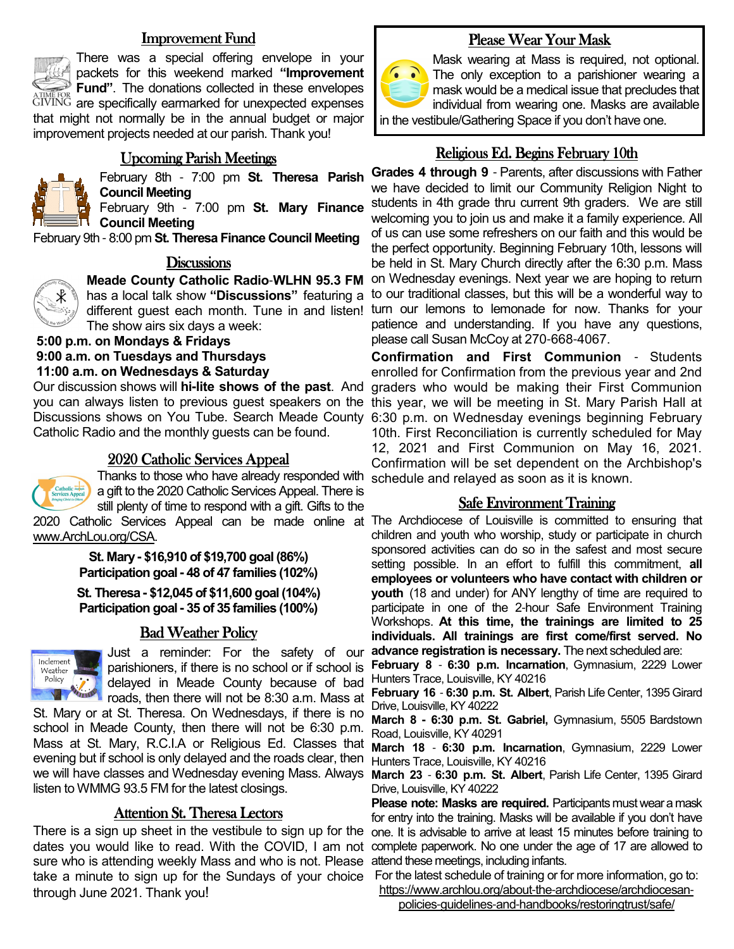## **Improvement Fund**



There was a special offering envelope in your packets for this weekend marked **"Improvement Fund"**. The donations collected in these envelopes GIVING are specifically earmarked for unexpected expenses that might not normally be in the annual budget or major improvement projects needed at our parish. Thank you!

## Upcoming Parish Meetings



February 8th - 7:00 pm **St. Theresa Parish Council Meeting**

February 9th - 7:00 pm **St. Mary Finance Council Meeting**

February 9th - 8:00 pm **St. Theresa Finance Council Meeting**

#### **Discussions**



**Meade County Catholic Radio**-**WLHN 95.3 FM**  has a local talk show **"Discussions"** featuring a The show airs six days a week:

 **5:00 p.m. on Mondays & Fridays 9:00 a.m. on Tuesdays and Thursdays 11:00 a.m. on Wednesdays & Saturday**

Our discussion shows will **hi-lite shows of the past**. And Catholic Radio and the monthly guests can be found.

## 2020 Catholic Services Appeal



Thanks to those who have already responded with a gift to the 2020 Catholic Services Appeal. There is still plenty of time to respond with a gift. Gifts to the www.ArchLou.org/CSA.

> **St. Mary - \$16,910 of \$19,700 goal (86%) Participation goal - 48 of 47 families (102%)**

**St. Theresa - \$12,045 of \$11,600 goal (104%) Participation goal - 35 of 35 families (100%)**

## **Bad Weather Policy**



Just a reminder: For the safety of our parishioners, if there is no school or if school is delayed in Meade County because of bad Hunters Trace, Louisville, KY 40216 roads, then there will not be 8:30 a.m. Mass at

St. Mary or at St. Theresa. On Wednesdays, if there is no school in Meade County, then there will not be 6:30 p.m. Mass at St. Mary, R.C.I.A or Religious Ed. Classes that evening but if school is only delayed and the roads clear, then we will have classes and Wednesday evening Mass. Always **March 23** - **6:30 p.m. St. Albert**, Parish Life Center, 1395 Girard listen to WMMG 93.5 FM for the latest closings.

## Attention St. Theresa Lectors

There is a sign up sheet in the vestibule to sign up for the one. It is advisable to amve at least 15 minutes before training to dates you would like to read. With the COVID, I am not complete paperwork. No one under the age of 17 are allowed to sure who is attending weekly Mass and who is not. Please attend these meetings, including infants. take a minute to sign up for the Sundays of your choice For the latest schedule of training or for more information, go to: through June 2021. Thank you!

## Please Wear Your Mask



Mask wearing at Mass is required, not optional. The only exception to a parishioner wearing a mask would be a medical issue that precludes that individual from wearing one. Masks are available in the vestibule/Gathering Space if you don't have one.

## Religious Ed. Begins February 10th

different guest each month. Tune in and listen! turn our lemons to lemonade for now. Thanks for your **Grades 4 through 9** - Parents, after discussions with Father we have decided to limit our Community Religion Night to students in 4th grade thru current 9th graders. We are still welcoming you to join us and make it a family experience. All of us can use some refreshers on our faith and this would be the perfect opportunity. Beginning February 10th, lessons will be held in St. Mary Church directly after the 6:30 p.m. Mass on Wednesday evenings. Next year we are hoping to return to our traditional classes, but this will be a wonderful way to patience and understanding. If you have any questions, please call Susan McCoy at 270-668-4067.

you can always listen to previous guest speakers on the this year, we will be meeting in St. Mary Parish Hall at Discussions shows on You Tube. Search Meade County 6:30 p.m. on Wednesday evenings beginning February **Confirmation and First Communion** - Students enrolled for Confirmation from the previous year and 2nd graders who would be making their First Communion 10th. First Reconciliation is currently scheduled for May 12, 2021 and First Communion on May 16, 2021. Confirmation will be set dependent on the Archbishop's schedule and relayed as soon as it is known.

## Safe Environment Training

2020 Catholic Services Appeal can be made online at The Archdiocese of Louisville is committed to ensuring that children and youth who worship, study or participate in church sponsored activities can do so in the safest and most secure setting possible. In an effort to fulfill this commitment, **all employees or volunteers who have contact with children or youth** (18 and under) for ANY lengthy of time are required to participate in one of the 2-hour Safe Environment Training Workshops. **At this time, the trainings are limited to 25 individuals. All trainings are first come/first served. No advance registration is necessary.** The next scheduled are:

**February 8** - **6:30 p.m. Incarnation**, Gymnasium, 2229 Lower

**February 16** - **6:30 p.m. St. Albert**, Parish Life Center, 1395 Girard Drive, Louisville, KY 40222

**March 8 - 6:30 p.m. St. Gabriel,** Gymnasium, 5505 Bardstown Road, Louisville, KY 40291

**March 18** - **6:30 p.m. Incarnation**, Gymnasium, 2229 Lower Hunters Trace, Louisville, KY 40216

Drive, Louisville, KY 40222

**Please note: Masks are required.** Participants must wear a mask for entry into the training. Masks will be available if you don't have

https://www.archlou.org/about-the-archdiocese/archdiocesan-

policies-guidelines-and-handbooks/restoringtrust/safe/